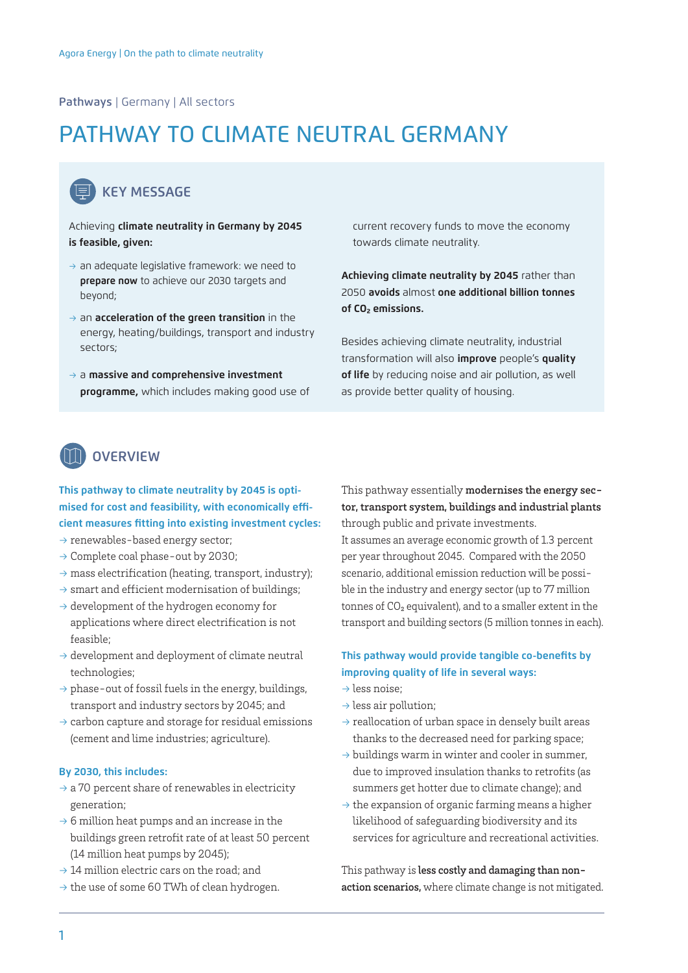## Pathways | Germany | All sectors

# PATHWAY TO CLIMATE NEUTRAL GERMANY

## KEY MESSAGE

#### Achieving **climate neutrality in Germany by 2045 is feasible, given:**

- $\rightarrow$  an adequate legislative framework: we need to **prepare now** to achieve our 2030 targets and beyond;
- → an **acceleration of the green transition** in the energy, heating/buildings, transport and industry sectors;
- → a **massive and comprehensive investment programme,** which includes making good use of

current recovery funds to move the economy towards climate neutrality.

**Achieving climate neutrality by 2045** rather than 2050 **avoids** almost **one additional billion tonnes of CO₂ emissions.** 

Besides achieving climate neutrality, industrial transformation will also **improve** people's **quality of life** by reducing noise and air pollution, as well as provide better quality of housing.

## **OVERVIEW**

## **This pathway to climate neutrality by 2045 is optimised for cost and feasibility, with economically efficient measures fitting into existing investment cycles:**

- $\rightarrow$  renewables-based energy sector;
- → Complete coal phase-out by 2030;
- $\rightarrow$  mass electrification (heating, transport, industry);
- $\rightarrow$  smart and efficient modernisation of buildings;
- $\rightarrow$  development of the hydrogen economy for applications where direct electrification is not feasible;
- $\rightarrow$  development and deployment of climate neutral technologies;
- $\rightarrow$  phase-out of fossil fuels in the energy, buildings, transport and industry sectors by 2045; and
- $\rightarrow$  carbon capture and storage for residual emissions (cement and lime industries; agriculture).

#### **By 2030, this includes:**

- $\rightarrow$  a 70 percent share of renewables in electricity generation;
- $\rightarrow$  6 million heat pumps and an increase in the buildings green retrofit rate of at least 50 percent (14 million heat pumps by 2045);
- $\rightarrow$  14 million electric cars on the road; and
- $\rightarrow$  the use of some 60 TWh of clean hydrogen.

This pathway essentially modernises the energy sector, transport system, buildings and industrial plants through public and private investments.

It assumes an average economic growth of 1.3 percent per year throughout 2045. Compared with the 2050 scenario, additional emission reduction will be possible in the industry and energy sector (up to 77 million tonnes of CO₂ equivalent), and to a smaller extent in the transport and building sectors (5 million tonnes in each).

## **This pathway would provide tangible co-benefits by improving quality of life in several ways:**

- $\rightarrow$  less noise:
- $\rightarrow$  less air pollution:
- $\rightarrow$  reallocation of urban space in densely built areas thanks to the decreased need for parking space;
- $\rightarrow$  buildings warm in winter and cooler in summer, due to improved insulation thanks to retrofits (as summers get hotter due to climate change); and
- $\rightarrow$  the expansion of organic farming means a higher likelihood of safeguarding biodiversity and its services for agriculture and recreational activities.

This pathway is less costly and damaging than nonaction scenarios, where climate change is not mitigated.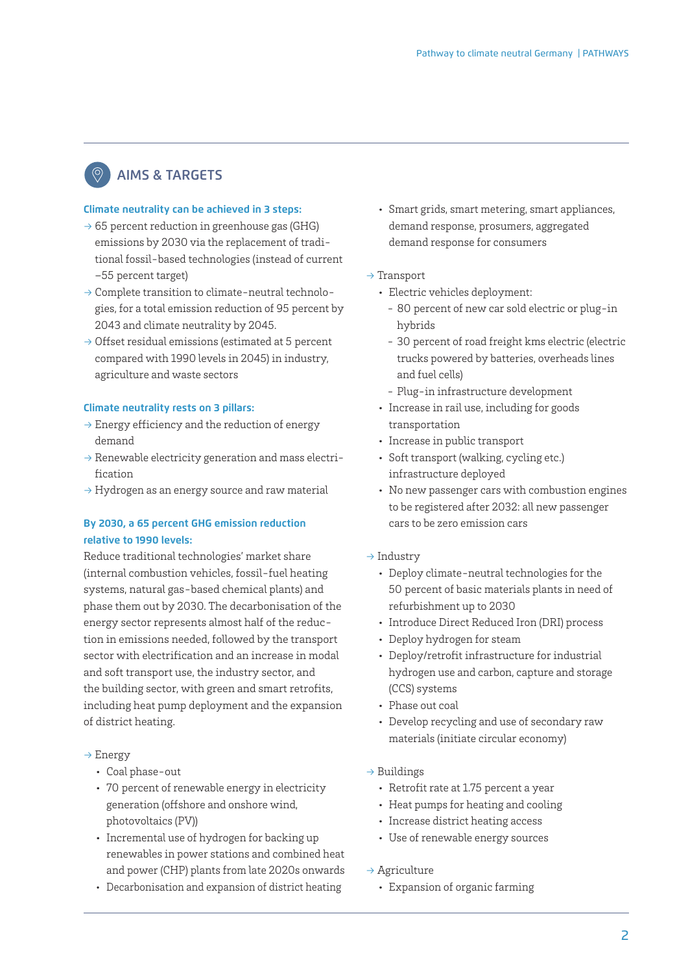# AIMS & TARGETS

## **Climate neutrality can be achieved in 3 steps:**

- $\rightarrow$  65 percent reduction in greenhouse gas (GHG) emissions by 2030 via the replacement of traditional fossil-based technologies (instead of current –55 percent target)
- → Complete transition to climate-neutral technologies, for a total emission reduction of 95 percent by 2043 and climate neutrality by 2045.
- $\rightarrow$  Offset residual emissions (estimated at 5 percent compared with 1990 levels in 2045) in industry, agriculture and waste sectors

## **Climate neutrality rests on 3 pillars:**

- $\rightarrow$  Energy efficiency and the reduction of energy demand
- $\rightarrow$  Renewable electricity generation and mass electrification
- $\rightarrow$  Hydrogen as an energy source and raw material

## **By 2030, a 65 percent GHG emission reduction relative to 1990 levels:**

Reduce traditional technologies' market share (internal combustion vehicles, fossil-fuel heating systems, natural gas-based chemical plants) and phase them out by 2030. The decarbonisation of the energy sector represents almost half of the reduction in emissions needed, followed by the transport sector with electrification and an increase in modal and soft transport use, the industry sector, and the building sector, with green and smart retrofits, including heat pump deployment and the expansion of district heating.

## → Energy

- Coal phase-out
- 70 percent of renewable energy in electricity generation (offshore and onshore wind, photovoltaics (PV))
- Incremental use of hydrogen for backing up renewables in power stations and combined heat and power (CHP) plants from late 2020s onwards
- Decarbonisation and expansion of district heating
- Smart grids, smart metering, smart appliances, demand response, prosumers, aggregated demand response for consumers
- $\rightarrow$  Transport
	- Electric vehicles deployment:
		- 80 percent of new car sold electric or plug-in hybrids
		- 30 percent of road freight kms electric (electric trucks powered by batteries, overheads lines and fuel cells)
		- Plug-in infrastructure development
	- Increase in rail use, including for goods transportation
	- Increase in public transport
	- Soft transport (walking, cycling etc.) infrastructure deployed
	- No new passenger cars with combustion engines to be registered after 2032: all new passenger cars to be zero emission cars
- $\rightarrow$  Industry
	- Deploy climate-neutral technologies for the 50 percent of basic materials plants in need of refurbishment up to 2030
	- Introduce Direct Reduced Iron (DRI) process
	- Deploy hydrogen for steam
	- Deploy/retrofit infrastructure for industrial hydrogen use and carbon, capture and storage (CCS) systems
	- Phase out coal
	- Develop recycling and use of secondary raw materials (initiate circular economy)
- $\rightarrow$  Buildings
	- Retrofit rate at 1.75 percent a year
	- Heat pumps for heating and cooling
	- Increase district heating access
	- Use of renewable energy sources
- $\rightarrow$  Agriculture
	- Expansion of organic farming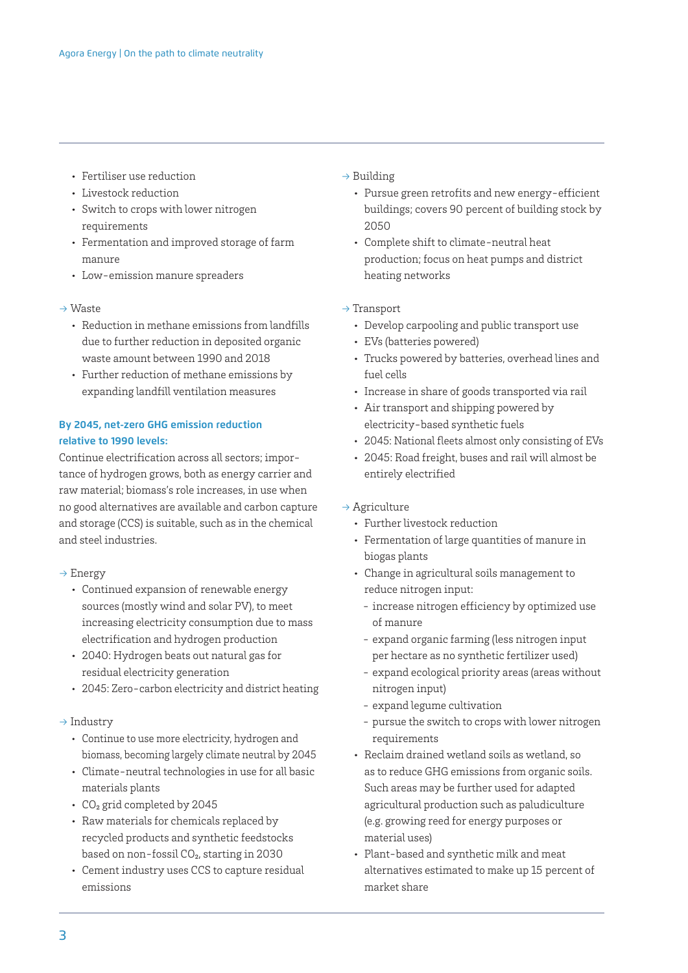- Fertiliser use reduction
- Livestock reduction
- Switch to crops with lower nitrogen requirements
- Fermentation and improved storage of farm manure
- Low-emission manure spreaders

## → Waste

- Reduction in methane emissions from landfills due to further reduction in deposited organic waste amount between 1990 and 2018
- Further reduction of methane emissions by expanding landfill ventilation measures

## **By 2045, net-zero GHG emission reduction relative to 1990 levels:**

Continue electrification across all sectors; importance of hydrogen grows, both as energy carrier and raw material; biomass's role increases, in use when no good alternatives are available and carbon capture and storage (CCS) is suitable, such as in the chemical and steel industries.

- → Energy
	- Continued expansion of renewable energy sources (mostly wind and solar PV), to meet increasing electricity consumption due to mass electrification and hydrogen production
	- 2040: Hydrogen beats out natural gas for residual electricity generation
	- 2045: Zero-carbon electricity and district heating

#### $\rightarrow$  Industry

- Continue to use more electricity, hydrogen and biomass, becoming largely climate neutral by 2045
- Climate-neutral technologies in use for all basic materials plants
- CO<sub>2</sub> grid completed by 2045
- Raw materials for chemicals replaced by recycled products and synthetic feedstocks based on non-fossil  $CO<sub>2</sub>$ , starting in 2030
- Cement industry uses CCS to capture residual emissions

#### $\rightarrow$  Building

- Pursue green retrofits and new energy-efficient buildings; covers 90 percent of building stock by 2050
- Complete shift to climate-neutral heat production; focus on heat pumps and district heating networks

## $\rightarrow$  Transport

- Develop carpooling and public transport use
- EVs (batteries powered)
- Trucks powered by batteries, overhead lines and fuel cells
- Increase in share of goods transported via rail
- Air transport and shipping powered by electricity-based synthetic fuels
- 2045: National fleets almost only consisting of EVs
- 2045: Road freight, buses and rail will almost be entirely electrified

## $\rightarrow$  Agriculture

- Further livestock reduction
- Fermentation of large quantities of manure in biogas plants
- Change in agricultural soils management to reduce nitrogen input:
	- increase nitrogen efficiency by optimized use of manure
	- expand organic farming (less nitrogen input per hectare as no synthetic fertilizer used)
	- expand ecological priority areas (areas without nitrogen input)
	- expand legume cultivation
	- pursue the switch to crops with lower nitrogen requirements
- Reclaim drained wetland soils as wetland, so as to reduce GHG emissions from organic soils. Such areas may be further used for adapted agricultural production such as paludiculture (e.g. growing reed for energy purposes or material uses)
- Plant-based and synthetic milk and meat alternatives estimated to make up 15 percent of market share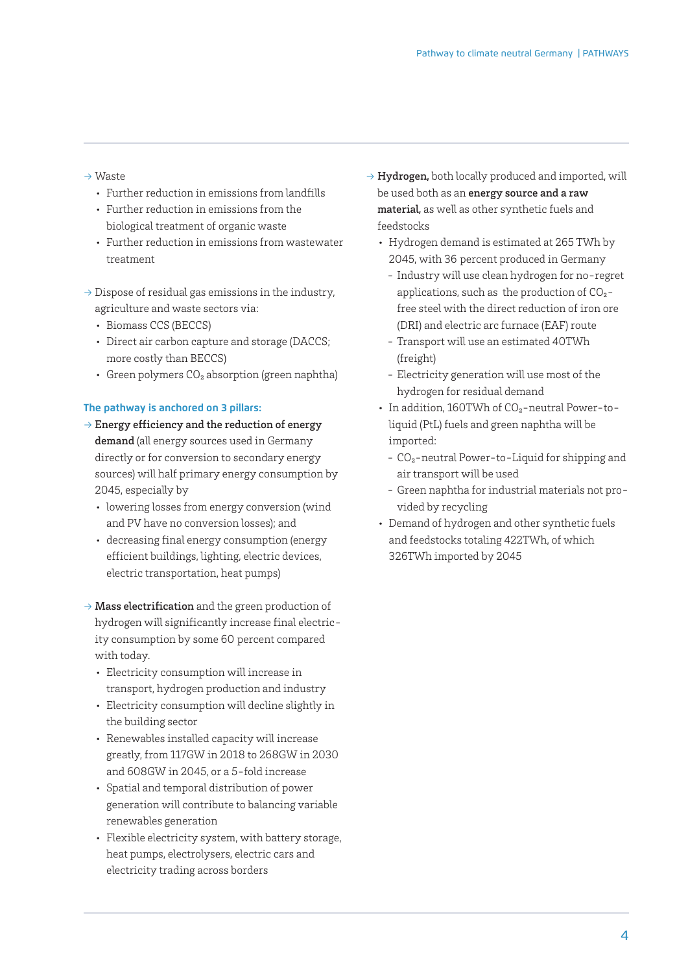## → Waste

- Further reduction in emissions from landfills
- Further reduction in emissions from the biological treatment of organic waste
- Further reduction in emissions from wastewater treatment
- $\rightarrow$  Dispose of residual gas emissions in the industry, agriculture and waste sectors via:
	- Biomass CCS (BECCS)
	- Direct air carbon capture and storage (DACCS; more costly than BECCS)
	- Green polymers  $CO<sub>2</sub>$  absorption (green naphtha)

## **The pathway is anchored on 3 pillars:**

- $\rightarrow$  Energy efficiency and the reduction of energy demand (all energy sources used in Germany directly or for conversion to secondary energy sources) will half primary energy consumption by 2045, especially by
	- lowering losses from energy conversion (wind and PV have no conversion losses); and
	- decreasing final energy consumption (energy efficient buildings, lighting, electric devices, electric transportation, heat pumps)
- $\rightarrow$  Mass electrification and the green production of hydrogen will significantly increase final electricity consumption by some 60 percent compared with today.
	- Electricity consumption will increase in transport, hydrogen production and industry
	- Electricity consumption will decline slightly in the building sector
	- Renewables installed capacity will increase greatly, from 117GW in 2018 to 268GW in 2030 and 608GW in 2045, or a 5-fold increase
	- Spatial and temporal distribution of power generation will contribute to balancing variable renewables generation
	- Flexible electricity system, with battery storage, heat pumps, electrolysers, electric cars and electricity trading across borders
- $\rightarrow$  Hydrogen, both locally produced and imported, will be used both as an energy source and a raw material, as well as other synthetic fuels and feedstocks
	- Hydrogen demand is estimated at 265 TWh by 2045, with 36 percent produced in Germany
		- Industry will use clean hydrogen for no-regret applications, such as the production of  $CO<sub>2</sub>$ free steel with the direct reduction of iron ore (DRI) and electric arc furnace (EAF) route
		- Transport will use an estimated 40TWh (freight)
		- Electricity generation will use most of the hydrogen for residual demand
	- In addition, 160TWh of CO<sub>2</sub>-neutral Power-toliquid (PtL) fuels and green naphtha will be imported:
		- CO₂-neutral Power-to-Liquid for shipping and air transport will be used
		- Green naphtha for industrial materials not provided by recycling
	- Demand of hydrogen and other synthetic fuels and feedstocks totaling 422TWh, of which 326TWh imported by 2045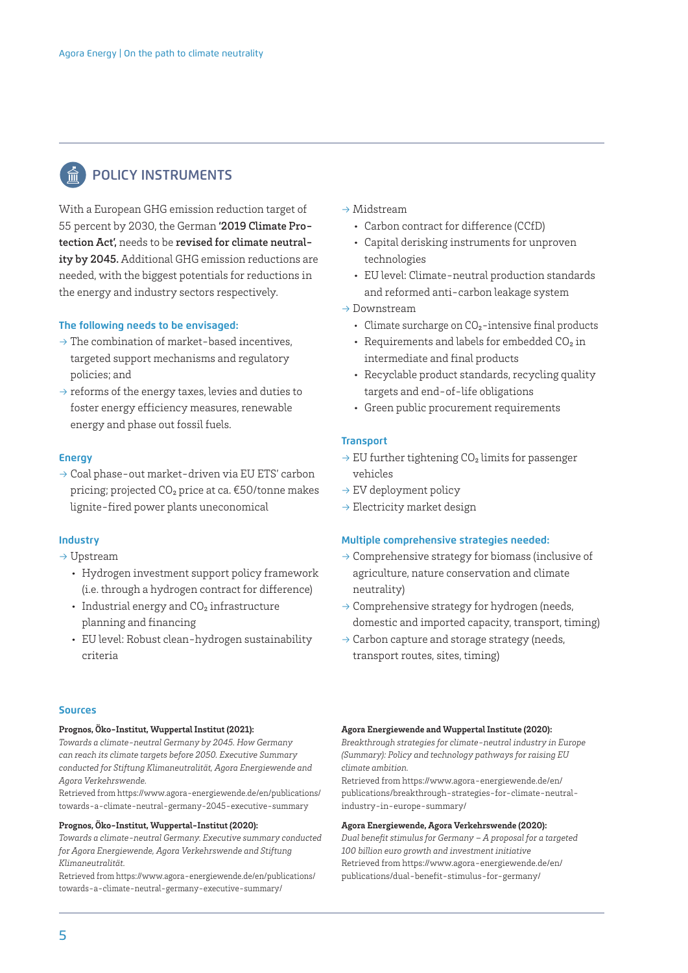# POLICY INSTRUMENTS

With a European GHG emission reduction target of 55 percent by 2030, the German '2019 Climate Protection Act', needs to be revised for climate neutrality by 2045. Additional GHG emission reductions are needed, with the biggest potentials for reductions in the energy and industry sectors respectively.

#### **The following needs to be envisaged:**

- $\rightarrow$  The combination of market-based incentives, targeted support mechanisms and regulatory policies; and
- $\rightarrow$  reforms of the energy taxes, levies and duties to foster energy efficiency measures, renewable energy and phase out fossil fuels.

#### **Energy**

→ Coal phase-out market-driven via EU ETS' carbon pricing; projected CO₂ price at ca. €50/tonne makes lignite-fired power plants uneconomical

#### **Industry**

- → Upstream
	- Hydrogen investment support policy framework (i.e. through a hydrogen contract for difference)
	- Industrial energy and CO<sub>2</sub> infrastructure planning and financing
	- EU level: Robust clean-hydrogen sustainability criteria

#### **Sources**

#### **Prognos, Öko-Institut, Wuppertal Institut (2021):**

*Towards a climate-neutral Germany by 2045. How Germany can reach its climate targets before 2050. Executive Summary conducted for Stiftung Klimaneutralität, Agora Energiewende and Agora Verkehrswende.*

Retrieved from [https://www.agora-energiewende.de/en/publications/](https://www.agora-energiewende.de/en/publications/towards-a-climate-neutral-germany-2045-executive-summary) [towards-a-climate-neutral-germany-2045-executive-summary](https://www.agora-energiewende.de/en/publications/towards-a-climate-neutral-germany-2045-executive-summary)

#### **Prognos, Öko-Institut, Wuppertal-Institut (2020):**

*Towards a climate-neutral Germany. Executive summary conducted for Agora Energiewende, Agora Verkehrswende and Stiftung Klimaneutralität.*

Retrieved from [https://www.agora-energiewende.de/en/publications/](https://www.agora-energiewende.de/en/publications/towards-a-climate-neutral-germany-executive-summary/) [towards-a-climate-neutral-germany-executive-summary/](https://www.agora-energiewende.de/en/publications/towards-a-climate-neutral-germany-executive-summary/)

- → Midstream
	- Carbon contract for difference (CCfD)
	- Capital derisking instruments for unproven technologies
	- EU level: Climate-neutral production standards and reformed anti-carbon leakage system
- → Downstream
	- Climate surcharge on CO<sub>2</sub>-intensive final products
	- Requirements and labels for embedded CO2 in intermediate and final products
	- Recyclable product standards, recycling quality targets and end-of-life obligations
	- Green public procurement requirements

#### **Transport**

- $\rightarrow$  EU further tightening CO<sub>2</sub> limits for passenger vehicles
- $\rightarrow$  EV deployment policy
- $\rightarrow$  Electricity market design

#### **Multiple comprehensive strategies needed:**

- $\rightarrow$  Comprehensive strategy for biomass (inclusive of agriculture, nature conservation and climate neutrality)
- $\rightarrow$  Comprehensive strategy for hydrogen (needs, domestic and imported capacity, transport, timing)
- $\rightarrow$  Carbon capture and storage strategy (needs, transport routes, sites, timing)

#### **Agora Energiewende and Wuppertal Institute (2020):**

*Breakthrough strategies for climate-neutral industry in Europe (Summary): Policy and technology pathways for raising EU climate ambition.*

Retrieved from [https://www.agora-energiewende.de/en/](https://www.agora-energiewende.de/en/publications/breakthrough-strategies-for-climate-neutral-industry-in-europe-summary/) [publications/breakthrough-strategies-for-climate-neutral](https://www.agora-energiewende.de/en/publications/breakthrough-strategies-for-climate-neutral-industry-in-europe-summary/)[industry-in-europe-summary/](https://www.agora-energiewende.de/en/publications/breakthrough-strategies-for-climate-neutral-industry-in-europe-summary/)

#### **Agora Energiewende, Agora Verkehrswende (2020):**

*Dual benefit stimulus for Germany – A proposal for a targeted 100 billion euro growth and investment initiative* Retrieved from [https://www.agora-energiewende.de/en/](https://www.agora-energiewende.de/en/publications/dual-benefit-stimulus-for-germany/) [publications/dual-benefit-stimulus-for-germany/](https://www.agora-energiewende.de/en/publications/dual-benefit-stimulus-for-germany/)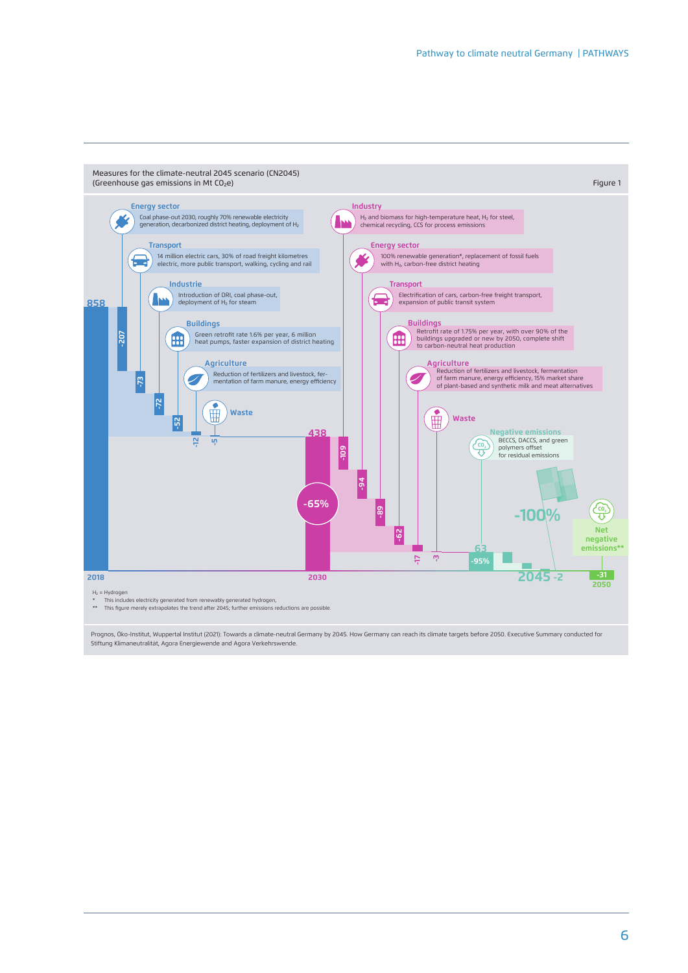

Prognos, Öko-Institut, Wuppertal Institut (2021): Towards a climate-neutral Germany by 2045. How Germany can reach its climate targets before 2050. Executive Summary conducted for Stiftung Klimaneutralität, Agora Energiewende and Agora Verkehrswende.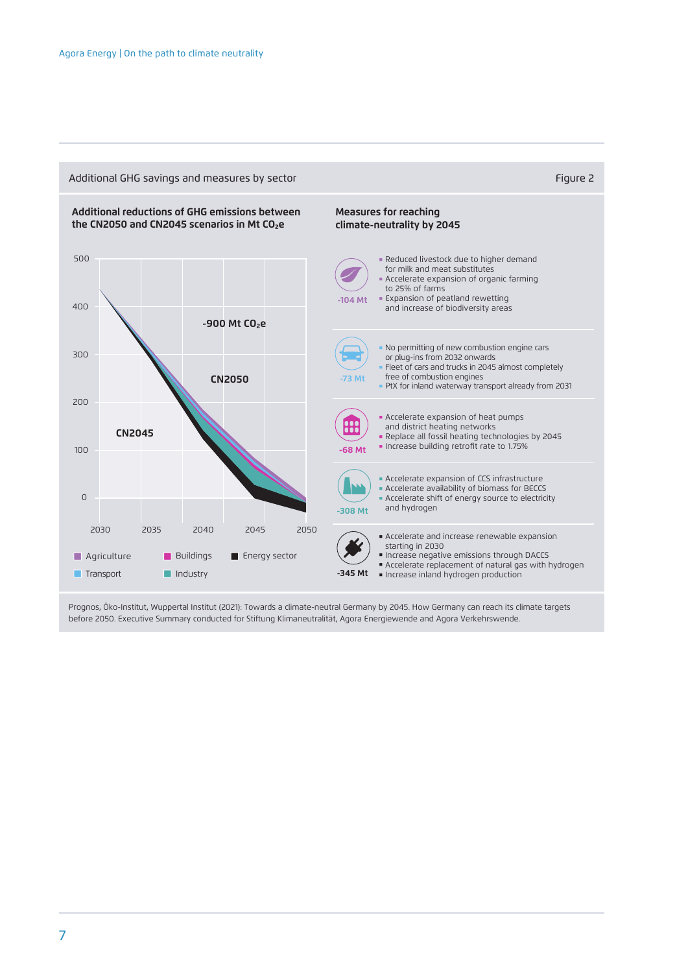

Prognos, Öko-Institut, Wuppertal Institut (2021): Towards a climate-neutral Germany by 2045. How Germany can reach its climate targets before 2050. Executive Summary conducted for Stiftung Klimaneutralität, Agora Energiewende and Agora Verkehrswende.